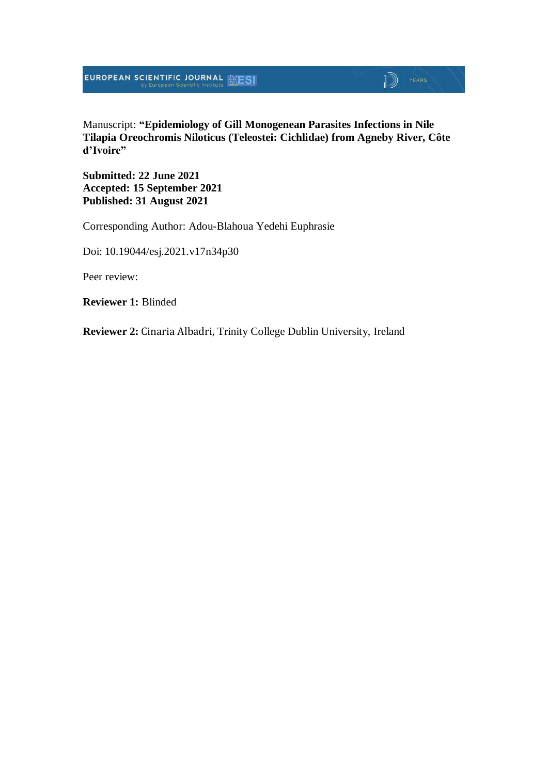

Manuscript: **"Epidemiology of Gill Monogenean Parasites Infections in Nile Tilapia Oreochromis Niloticus (Teleostei: Cichlidae) from Agneby River, Côte d'Ivoire"**

**Submitted: 22 June 2021 Accepted: 15 September 2021 Published: 31 August 2021**

Corresponding Author: Adou-Blahoua Yedehi Euphrasie

Doi: 10.19044/esj.2021.v17n34p30

Peer review:

**Reviewer 1:** Blinded

**Reviewer 2:** Cinaria Albadri, Trinity College Dublin University, Ireland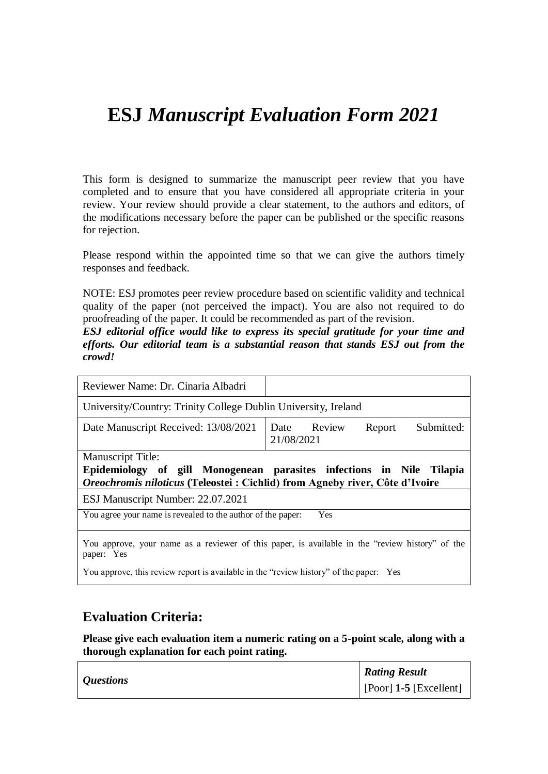# **ESJ** *Manuscript Evaluation Form 2021*

This form is designed to summarize the manuscript peer review that you have completed and to ensure that you have considered all appropriate criteria in your review. Your review should provide a clear statement, to the authors and editors, of the modifications necessary before the paper can be published or the specific reasons for rejection.

Please respond within the appointed time so that we can give the authors timely responses and feedback.

NOTE: ESJ promotes peer review procedure based on scientific validity and technical quality of the paper (not perceived the impact). You are also not required to do proofreading of the paper. It could be recommended as part of the revision.

*ESJ editorial office would like to express its special gratitude for your time and efforts. Our editorial team is a substantial reason that stands ESJ out from the crowd!*

| Reviewer Name: Dr. Cinaria Albadri                                                                                                                                       |                                                   |  |
|--------------------------------------------------------------------------------------------------------------------------------------------------------------------------|---------------------------------------------------|--|
| University/Country: Trinity College Dublin University, Ireland                                                                                                           |                                                   |  |
| Date Manuscript Received: 13/08/2021                                                                                                                                     | Submitted:<br>Date Review<br>Report<br>21/08/2021 |  |
| Manuscript Title:<br>Epidemiology of gill Monogenean parasites infections in Nile Tilapia<br>Oreochromis niloticus (Teleostei: Cichlid) from Agneby river, Côte d'Ivoire |                                                   |  |
|                                                                                                                                                                          |                                                   |  |
| ESJ Manuscript Number: 22.07.2021                                                                                                                                        |                                                   |  |
| You agree your name is revealed to the author of the paper:                                                                                                              | Yes                                               |  |

You approve, this review report is available in the "review history" of the paper: Yes

#### **Evaluation Criteria:**

**Please give each evaluation item a numeric rating on a 5-point scale, along with a thorough explanation for each point rating.**

|                         | <b>Rating Result</b>           |
|-------------------------|--------------------------------|
| <i><b>Questions</b></i> | $\vert$ [Poor] 1-5 [Excellent] |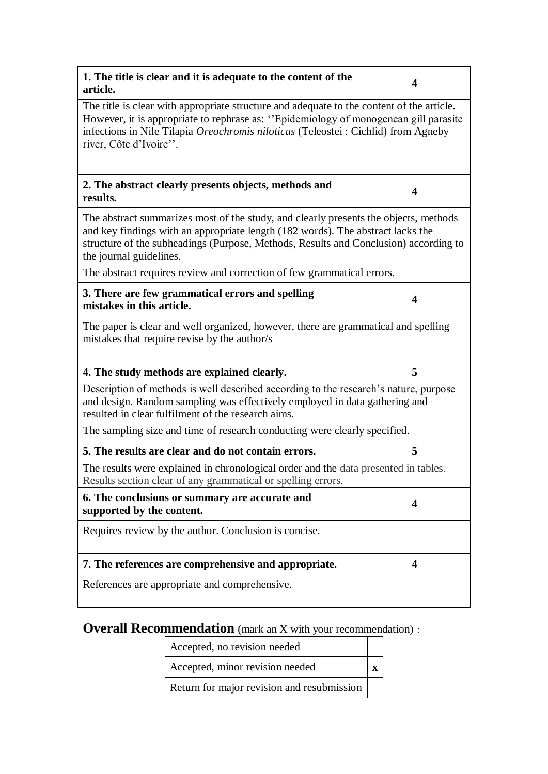| 1. The title is clear and it is adequate to the content of the<br>article.                                                                                                                                                                                                                        | 4                       |  |  |
|---------------------------------------------------------------------------------------------------------------------------------------------------------------------------------------------------------------------------------------------------------------------------------------------------|-------------------------|--|--|
| The title is clear with appropriate structure and adequate to the content of the article.<br>However, it is appropriate to rephrase as: "Epidemiology of monogenean gill parasite<br>infections in Nile Tilapia Oreochromis niloticus (Teleostei : Cichlid) from Agneby<br>river, Côte d'Ivoire". |                         |  |  |
| 2. The abstract clearly presents objects, methods and<br>results.                                                                                                                                                                                                                                 | 4                       |  |  |
| The abstract summarizes most of the study, and clearly presents the objects, methods<br>and key findings with an appropriate length (182 words). The abstract lacks the<br>structure of the subheadings (Purpose, Methods, Results and Conclusion) according to<br>the journal guidelines.        |                         |  |  |
| The abstract requires review and correction of few grammatical errors.                                                                                                                                                                                                                            |                         |  |  |
| 3. There are few grammatical errors and spelling<br>mistakes in this article.                                                                                                                                                                                                                     | 4                       |  |  |
| The paper is clear and well organized, however, there are grammatical and spelling<br>mistakes that require revise by the author/s                                                                                                                                                                |                         |  |  |
| 4. The study methods are explained clearly.                                                                                                                                                                                                                                                       | 5                       |  |  |
| Description of methods is well described according to the research's nature, purpose<br>and design. Random sampling was effectively employed in data gathering and<br>resulted in clear fulfilment of the research aims.                                                                          |                         |  |  |
| The sampling size and time of research conducting were clearly specified.                                                                                                                                                                                                                         |                         |  |  |
| 5. The results are clear and do not contain errors.                                                                                                                                                                                                                                               | 5                       |  |  |
| The results were explained in chronological order and the data presented in tables.<br>Results section clear of any grammatical or spelling errors.                                                                                                                                               |                         |  |  |
| 6. The conclusions or summary are accurate and<br>supported by the content.                                                                                                                                                                                                                       | $\overline{\mathbf{4}}$ |  |  |
| Requires review by the author. Conclusion is concise.                                                                                                                                                                                                                                             |                         |  |  |
| 7. The references are comprehensive and appropriate.                                                                                                                                                                                                                                              | $\overline{\mathbf{4}}$ |  |  |
| References are appropriate and comprehensive.                                                                                                                                                                                                                                                     |                         |  |  |

## **Overall Recommendation** (mark an X with your recommendation):

Accepted, no revision needed

Accepted, minor revision needed **x**

Return for major revision and resubmission